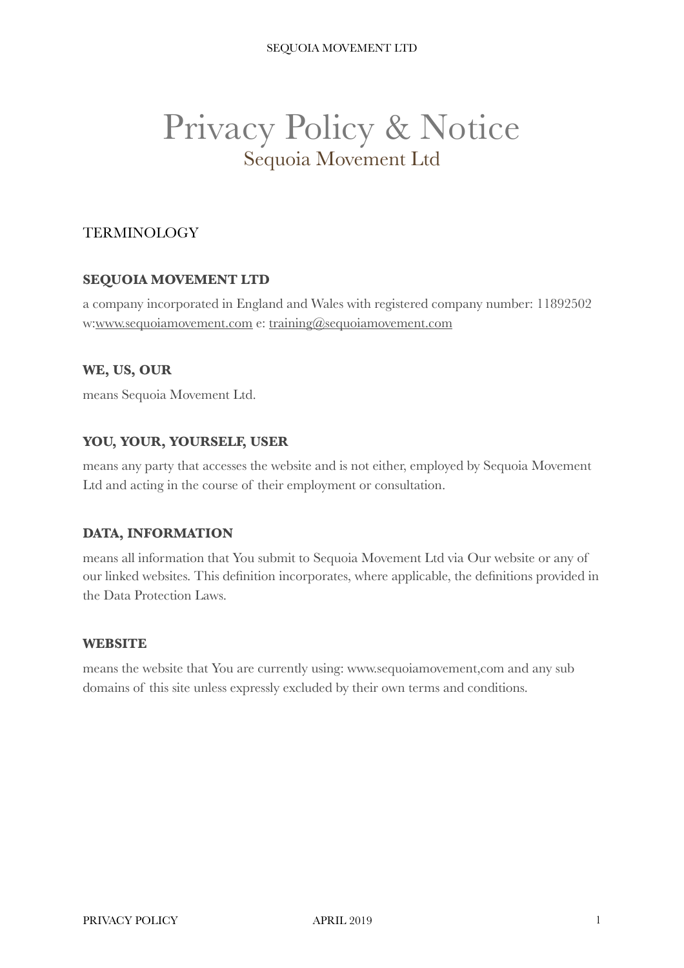# Privacy Policy & Notice Sequoia Movement Ltd

## **TERMINOLOGY**

#### **SEQUOIA MOVEMENT LTD**

a company incorporated in England and Wales with registered company number: 11892502 w[:www.sequoiamovement.com](http://www.sequoiamovement.com) e: [training@sequoiamovement.com](mailto:training@sequoiamovement.com)

#### **WE, US, OUR**

means Sequoia Movement Ltd.

#### **YOU, YOUR, YOURSELF, USER**

means any party that accesses the website and is not either, employed by Sequoia Movement Ltd and acting in the course of their employment or consultation.

#### **DATA, INFORMATION**

means all information that You submit to Sequoia Movement Ltd via Our website or any of our linked websites. This definition incorporates, where applicable, the definitions provided in the Data Protection Laws.

#### **WEBSITE**

means the website that You are currently using: www.sequoiamovement,com and any sub domains of this site unless expressly excluded by their own terms and conditions.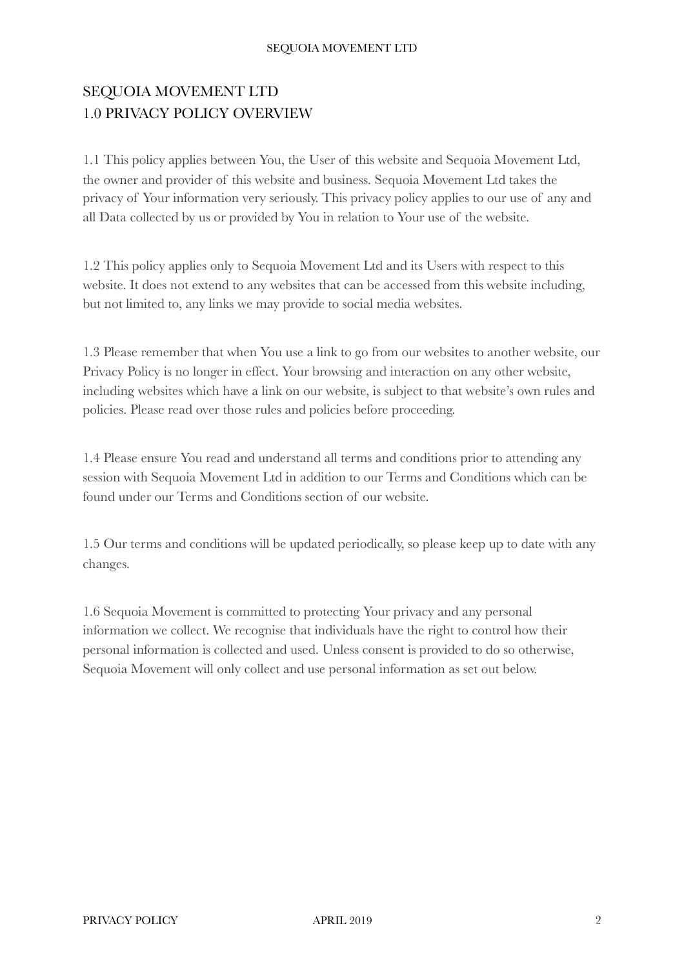## SEQUOIA MOVEMENT LTD 1.0 PRIVACY POLICY OVERVIEW

1.1 This policy applies between You, the User of this website and Sequoia Movement Ltd, the owner and provider of this website and business. Sequoia Movement Ltd takes the privacy of Your information very seriously. This privacy policy applies to our use of any and all Data collected by us or provided by You in relation to Your use of the website.

1.2 This policy applies only to Sequoia Movement Ltd and its Users with respect to this website. It does not extend to any websites that can be accessed from this website including, but not limited to, any links we may provide to social media websites.

1.3 Please remember that when You use a link to go from our websites to another website, our Privacy Policy is no longer in effect. Your browsing and interaction on any other website, including websites which have a link on our website, is subject to that website's own rules and policies. Please read over those rules and policies before proceeding.

1.4 Please ensure You read and understand all terms and conditions prior to attending any session with Sequoia Movement Ltd in addition to our Terms and Conditions which can be found under our Terms and Conditions section of our website.

1.5 Our terms and conditions will be updated periodically, so please keep up to date with any changes.

1.6 Sequoia Movement is committed to protecting Your privacy and any personal information we collect. We recognise that individuals have the right to control how their personal information is collected and used. Unless consent is provided to do so otherwise, Sequoia Movement will only collect and use personal information as set out below.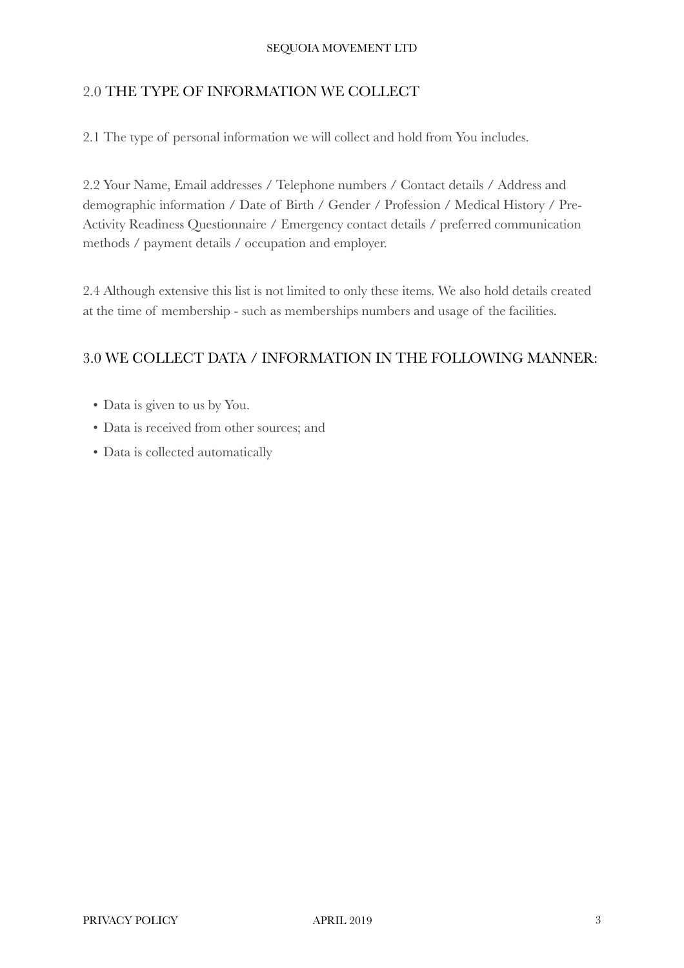## 2.0 THE TYPE OF INFORMATION WE COLLECT

2.1 The type of personal information we will collect and hold from You includes.

2.2 Your Name, Email addresses / Telephone numbers / Contact details / Address and demographic information / Date of Birth / Gender / Profession / Medical History / Pre-Activity Readiness Questionnaire / Emergency contact details / preferred communication methods / payment details / occupation and employer.

2.4 Although extensive this list is not limited to only these items. We also hold details created at the time of membership - such as memberships numbers and usage of the facilities.

#### 3.0 WE COLLECT DATA / INFORMATION IN THE FOLLOWING MANNER:

- Data is given to us by You.
- Data is received from other sources; and
- Data is collected automatically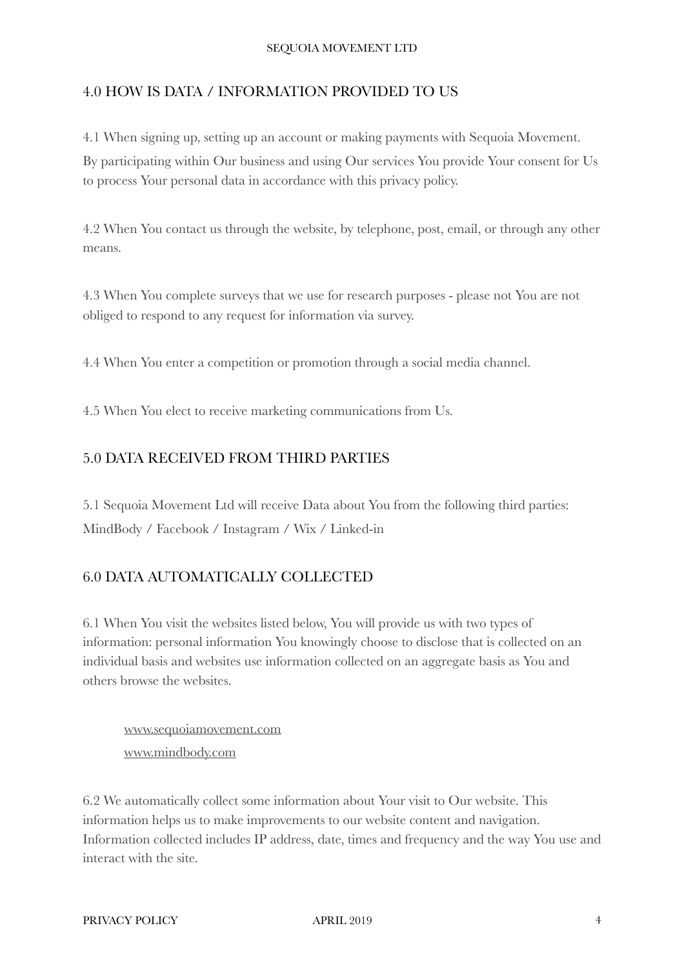#### 4.0 HOW IS DATA / INFORMATION PROVIDED TO US

4.1 When signing up, setting up an account or making payments with Sequoia Movement. By participating within Our business and using Our services You provide Your consent for Us to process Your personal data in accordance with this privacy policy.

4.2 When You contact us through the website, by telephone, post, email, or through any other means.

4.3 When You complete surveys that we use for research purposes - please not You are not obliged to respond to any request for information via survey.

4.4 When You enter a competition or promotion through a social media channel.

4.5 When You elect to receive marketing communications from Us.

#### 5.0 DATA RECEIVED FROM THIRD PARTIES

5.1 Sequoia Movement Ltd will receive Data about You from the following third parties: MindBody / Facebook / Instagram / Wix / Linked-in

## 6.0 DATA AUTOMATICALLY COLLECTED

6.1 When You visit the websites listed below, You will provide us with two types of information: personal information You knowingly choose to disclose that is collected on an individual basis and websites use information collected on an aggregate basis as You and others browse the websites.

[www.sequoiamovement.com](http://www.sequoiamovement.com) [www.mindbody.com](http://www.mindbody.com)

6.2 We automatically collect some information about Your visit to Our website. This information helps us to make improvements to our website content and navigation. Information collected includes IP address, date, times and frequency and the way You use and interact with the site.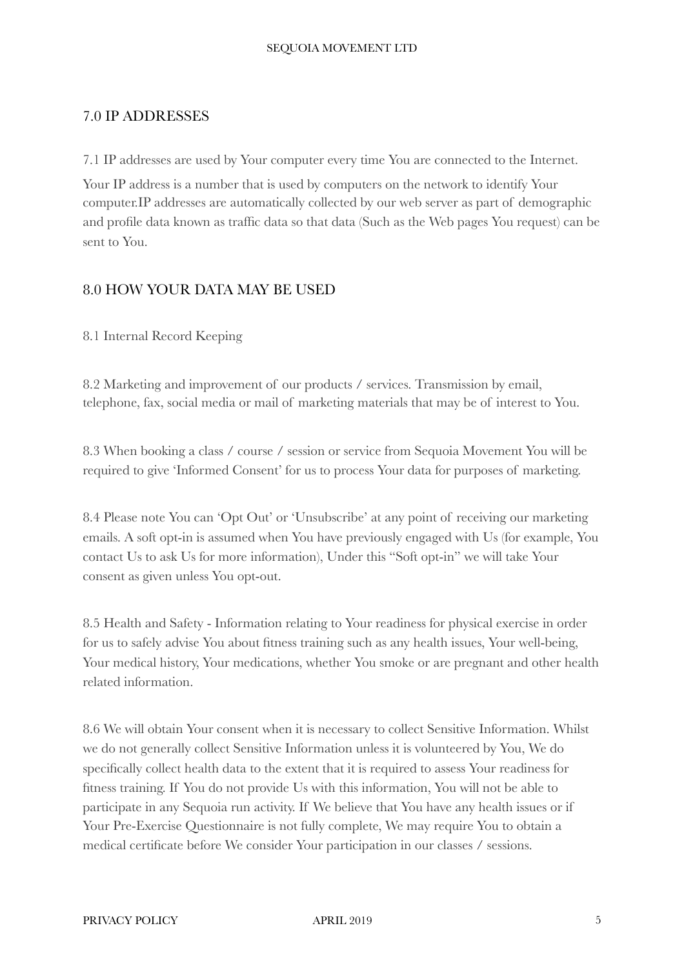#### 7.0 IP ADDRESSES

7.1 IP addresses are used by Your computer every time You are connected to the Internet.

Your IP address is a number that is used by computers on the network to identify Your computer.IP addresses are automatically collected by our web server as part of demographic and profile data known as traffic data so that data (Such as the Web pages You request) can be sent to You.

#### 8.0 HOW YOUR DATA MAY BE USED

8.1 Internal Record Keeping

8.2 Marketing and improvement of our products / services. Transmission by email, telephone, fax, social media or mail of marketing materials that may be of interest to You.

8.3 When booking a class / course / session or service from Sequoia Movement You will be required to give 'Informed Consent' for us to process Your data for purposes of marketing.

8.4 Please note You can 'Opt Out' or 'Unsubscribe' at any point of receiving our marketing emails. A soft opt-in is assumed when You have previously engaged with Us (for example, You contact Us to ask Us for more information), Under this "Soft opt-in" we will take Your consent as given unless You opt-out.

8.5 Health and Safety - Information relating to Your readiness for physical exercise in order for us to safely advise You about fitness training such as any health issues, Your well-being, Your medical history, Your medications, whether You smoke or are pregnant and other health related information.

8.6 We will obtain Your consent when it is necessary to collect Sensitive Information. Whilst we do not generally collect Sensitive Information unless it is volunteered by You, We do specifically collect health data to the extent that it is required to assess Your readiness for fitness training. If You do not provide Us with this information, You will not be able to participate in any Sequoia run activity. If We believe that You have any health issues or if Your Pre-Exercise Questionnaire is not fully complete, We may require You to obtain a medical certificate before We consider Your participation in our classes / sessions.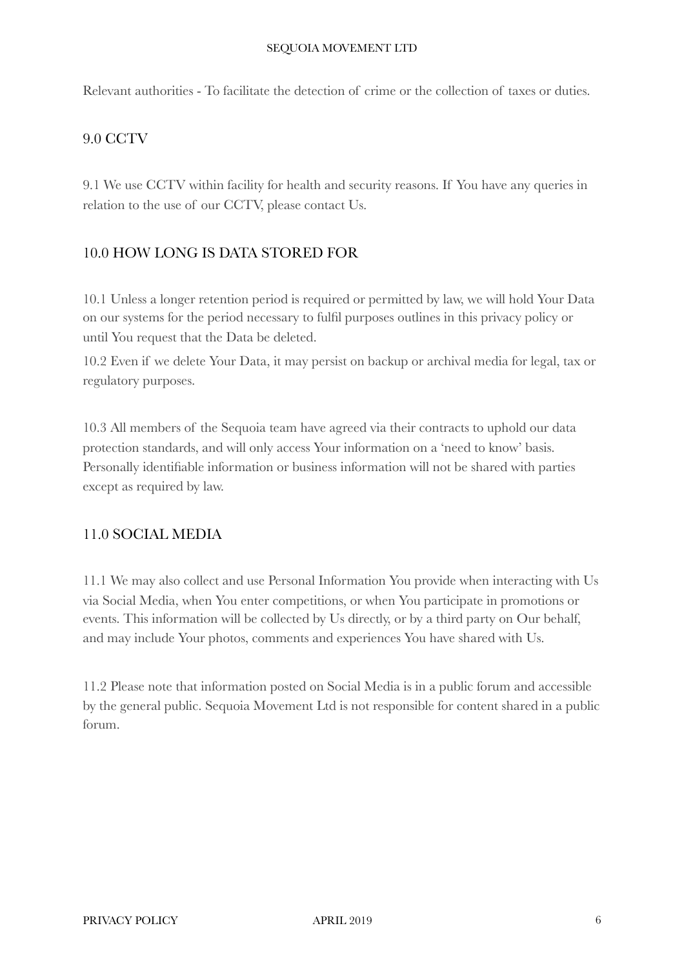Relevant authorities - To facilitate the detection of crime or the collection of taxes or duties.

#### 9.0 CCTV

9.1 We use CCTV within facility for health and security reasons. If You have any queries in relation to the use of our CCTV, please contact Us.

## 10.0 HOW LONG IS DATA STORED FOR

10.1 Unless a longer retention period is required or permitted by law, we will hold Your Data on our systems for the period necessary to fulfil purposes outlines in this privacy policy or until You request that the Data be deleted.

10.2 Even if we delete Your Data, it may persist on backup or archival media for legal, tax or regulatory purposes.

10.3 All members of the Sequoia team have agreed via their contracts to uphold our data protection standards, and will only access Your information on a 'need to know' basis. Personally identifiable information or business information will not be shared with parties except as required by law.

#### 11.0 SOCIAL MEDIA

11.1 We may also collect and use Personal Information You provide when interacting with Us via Social Media, when You enter competitions, or when You participate in promotions or events. This information will be collected by Us directly, or by a third party on Our behalf, and may include Your photos, comments and experiences You have shared with Us.

11.2 Please note that information posted on Social Media is in a public forum and accessible by the general public. Sequoia Movement Ltd is not responsible for content shared in a public forum.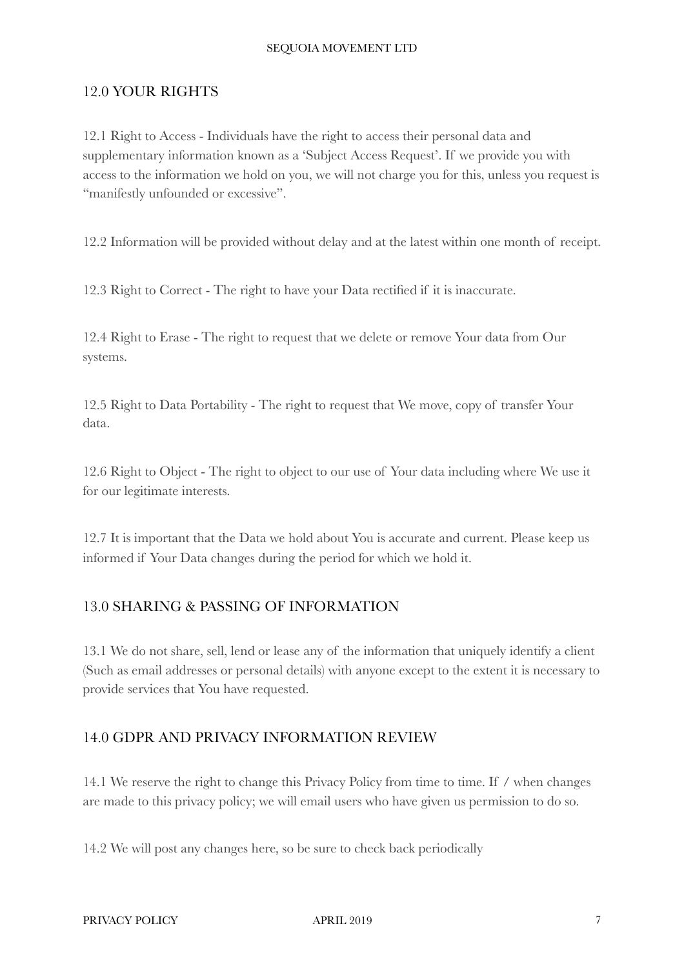#### 12.0 YOUR RIGHTS

12.1 Right to Access - Individuals have the right to access their personal data and supplementary information known as a 'Subject Access Request'. If we provide you with access to the information we hold on you, we will not charge you for this, unless you request is "manifestly unfounded or excessive".

12.2 Information will be provided without delay and at the latest within one month of receipt.

12.3 Right to Correct - The right to have your Data rectified if it is inaccurate.

12.4 Right to Erase - The right to request that we delete or remove Your data from Our systems.

12.5 Right to Data Portability - The right to request that We move, copy of transfer Your data.

12.6 Right to Object - The right to object to our use of Your data including where We use it for our legitimate interests.

12.7 It is important that the Data we hold about You is accurate and current. Please keep us informed if Your Data changes during the period for which we hold it.

#### 13.0 SHARING & PASSING OF INFORMATION

13.1 We do not share, sell, lend or lease any of the information that uniquely identify a client (Such as email addresses or personal details) with anyone except to the extent it is necessary to provide services that You have requested.

## 14.0 GDPR AND PRIVACY INFORMATION REVIEW

14.1 We reserve the right to change this Privacy Policy from time to time. If / when changes are made to this privacy policy; we will email users who have given us permission to do so.

14.2 We will post any changes here, so be sure to check back periodically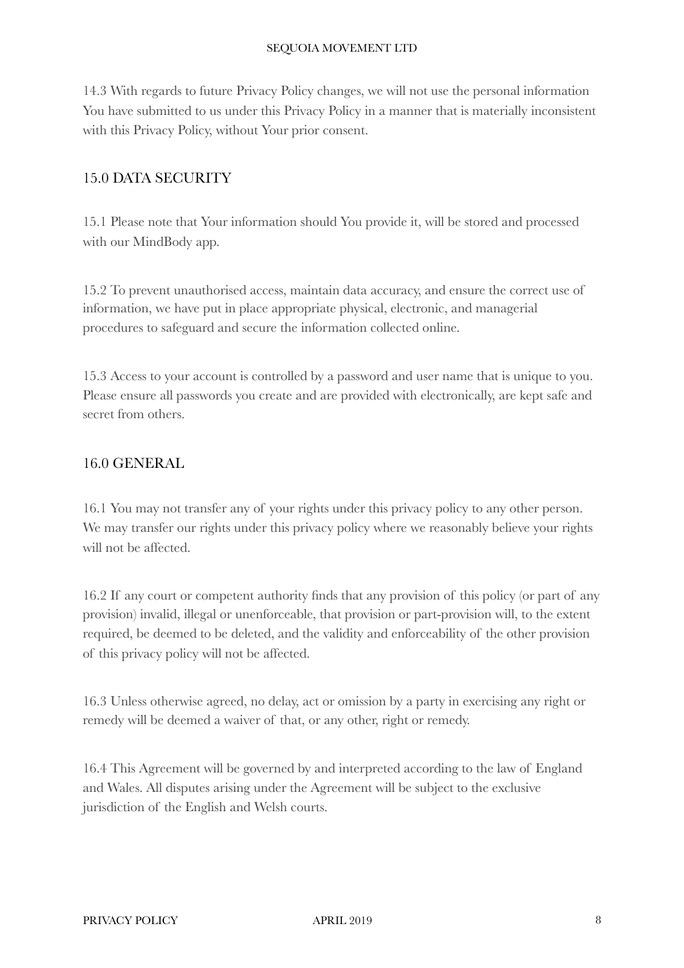14.3 With regards to future Privacy Policy changes, we will not use the personal information You have submitted to us under this Privacy Policy in a manner that is materially inconsistent with this Privacy Policy, without Your prior consent.

## 15.0 DATA SECURITY

15.1 Please note that Your information should You provide it, will be stored and processed with our MindBody app.

15.2 To prevent unauthorised access, maintain data accuracy, and ensure the correct use of information, we have put in place appropriate physical, electronic, and managerial procedures to safeguard and secure the information collected online.

15.3 Access to your account is controlled by a password and user name that is unique to you. Please ensure all passwords you create and are provided with electronically, are kept safe and secret from others.

## 16.0 GENERAL

16.1 You may not transfer any of your rights under this privacy policy to any other person. We may transfer our rights under this privacy policy where we reasonably believe your rights will not be affected.

16.2 If any court or competent authority finds that any provision of this policy (or part of any provision) invalid, illegal or unenforceable, that provision or part-provision will, to the extent required, be deemed to be deleted, and the validity and enforceability of the other provision of this privacy policy will not be affected.

16.3 Unless otherwise agreed, no delay, act or omission by a party in exercising any right or remedy will be deemed a waiver of that, or any other, right or remedy.

16.4 This Agreement will be governed by and interpreted according to the law of England and Wales. All disputes arising under the Agreement will be subject to the exclusive jurisdiction of the English and Welsh courts.